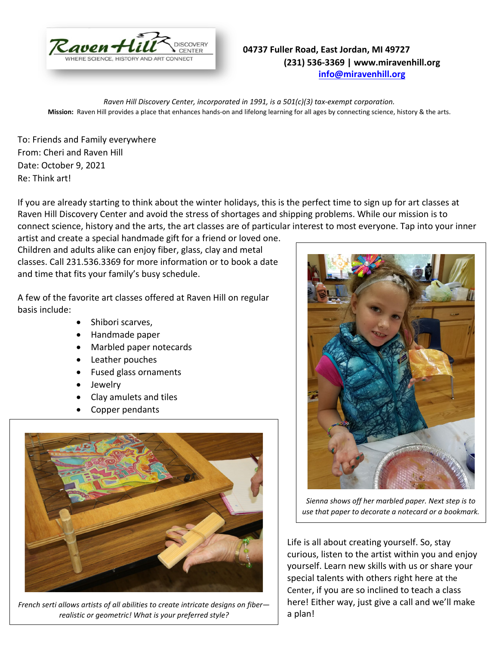

## **04737 Fuller Road, East Jordan, MI 49727 (231) 536-3369 | www.miravenhill.org [info@miravenhill.org](mailto:info@miravenhill.org)**

*Raven Hill Discovery Center, incorporated in 1991, is a 501(c)(3) tax-exempt corporation.* **Mission:** Raven Hill provides a place that enhances hands-on and lifelong learning for all ages by connecting science, history & the arts.

To: Friends and Family everywhere From: Cheri and Raven Hill Date: October 9, 2021 Re: Think art!

If you are already starting to think about the winter holidays, this is the perfect time to sign up for art classes at Raven Hill Discovery Center and avoid the stress of shortages and shipping problems. While our mission is to connect science, history and the arts, the art classes are of particular interest to most everyone. Tap into your inner

artist and create a special handmade gift for a friend or loved one. Children and adults alike can enjoy fiber, glass, clay and metal classes. Call 231.536.3369 for more information or to book a date and time that fits your family's busy schedule.

A few of the favorite art classes offered at Raven Hill on regular basis include:

- Shibori scarves,
- Handmade paper
- Marbled paper notecards
- Leather pouches
- Fused glass ornaments
- Jewelry
- Clay amulets and tiles
- Copper pendants



*French serti allows artists of all abilities to create intricate designs on fiber realistic or geometric! What is your preferred style?* 



*Sienna shows off her marbled paper. Next step is to use that paper to decorate a notecard or a bookmark.*

Life is all about creating yourself. So, stay curious, listen to the artist within you and enjoy yourself. Learn new skills with us or share your special talents with others right here at the Center, if you are so inclined to teach a class here! Either way, just give a call and we'll make a plan!